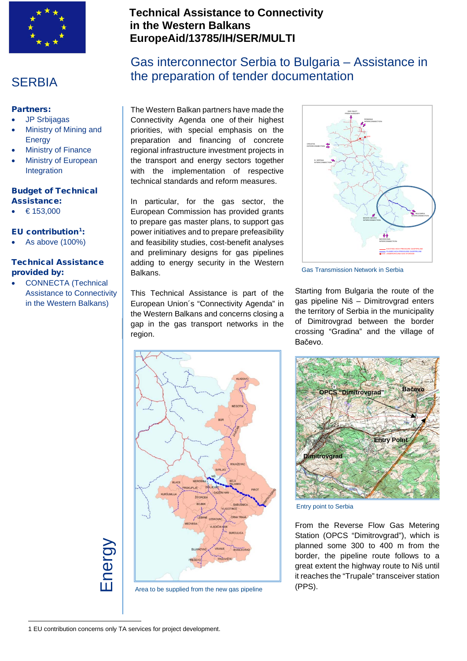

### **SERBIA**

### Partners:

- JP Srbijagas
- Ministry of Mining and Energy
- **Ministry of Finance**
- Ministry of European Integration

#### Budget of Technical Assistance:

 $€ 153,000$ 

# EU contribution $1$ :

- 
- As above (100%)

### Technical Assistance provided by:

• CONNECTA (Technical Assistance to Connectivity in the Western Balkans)

### **Technical Assistance to Connectivity in the Western Balkans EuropeAid/13785/IH/SER/MULTI**

# Gas interconnector Serbia to Bulgaria – Assistance in the preparation of tender documentation

The Western Balkan partners have made the Connectivity Agenda one of their highest priorities, with special emphasis on the preparation and financing of concrete regional infrastructure investment projects in the transport and energy sectors together with the implementation of respective technical standards and reform measures.

In particular, for the gas sector, the European Commission has provided grants to prepare gas master plans, to support gas power initiatives and to prepare prefeasibility and feasibility studies, cost-benefit analyses and preliminary designs for gas pipelines adding to energy security in the Western Balkans.

This Technical Assistance is part of the European Union´s "Connectivity Agenda" in the Western Balkans and concerns closing a gap in the gas transport networks in the region.



Gas Transmission Network in Serbia

Starting from Bulgaria the route of the gas pipeline Niš – Dimitrovgrad enters the territory of Serbia in the municipality of Dimitrovgrad between the border crossing "Gradina" and the village of Bačevo.



Area to be supplied from the new gas pipeline



Entry point to Serbia

From the Reverse Flow Gas Metering Station (OPCS "Dimitrovgrad"), which is planned some 300 to 400 m from the border, the pipeline route follows to a great extent the highway route to Niš until it reaches the "Trupale" transceiver station (PPS).

<span id="page-0-0"></span>1 EU contribution concerns only TA services for project development.

Energy